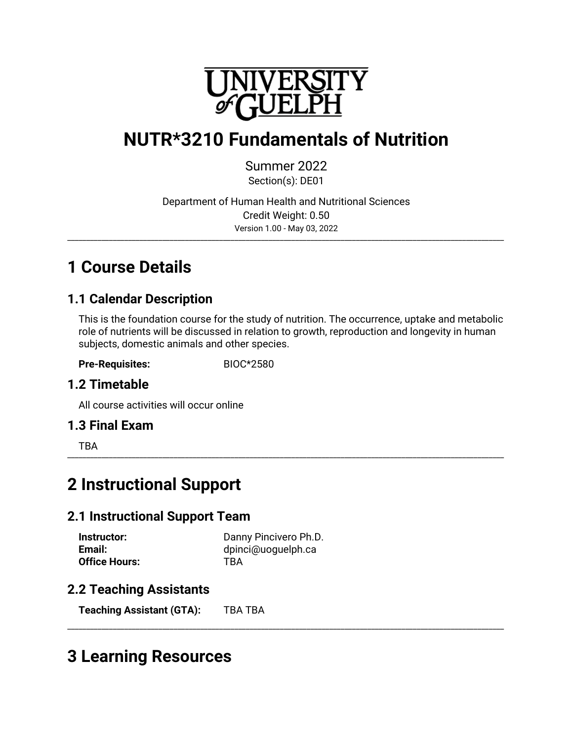

# **NUTR\*3210 Fundamentals of Nutrition**

Summer 2022 Section(s): DE01

Department of Human Health and Nutritional Sciences Credit Weight: 0.50 Version 1.00 - May 03, 2022 \_\_\_\_\_\_\_\_\_\_\_\_\_\_\_\_\_\_\_\_\_\_\_\_\_\_\_\_\_\_\_\_\_\_\_\_\_\_\_\_\_\_\_\_\_\_\_\_\_\_\_\_\_\_\_\_\_\_\_\_\_\_\_\_\_\_\_\_\_\_\_\_\_\_\_\_\_\_\_\_\_\_\_\_\_\_\_\_\_\_\_\_\_\_\_\_\_\_\_\_\_\_\_\_\_\_\_\_\_\_\_\_\_\_\_

# **1 Course Details**

# **1.1 Calendar Description**

This is the foundation course for the study of nutrition. The occurrence, uptake and metabolic role of nutrients will be discussed in relation to growth, reproduction and longevity in human subjects, domestic animals and other species.

\_\_\_\_\_\_\_\_\_\_\_\_\_\_\_\_\_\_\_\_\_\_\_\_\_\_\_\_\_\_\_\_\_\_\_\_\_\_\_\_\_\_\_\_\_\_\_\_\_\_\_\_\_\_\_\_\_\_\_\_\_\_\_\_\_\_\_\_\_\_\_\_\_\_\_\_\_\_\_\_\_\_\_\_\_\_\_\_\_\_\_\_\_\_\_\_\_\_\_\_\_\_\_\_\_\_\_\_\_\_\_\_\_\_\_

**Pre-Requisites:** BIOC\*2580

# **1.2 Timetable**

All course activities will occur online

# **1.3 Final Exam**

TBA \_\_\_\_\_\_\_\_\_\_\_\_\_\_\_\_\_\_\_\_\_\_\_\_\_\_\_\_\_\_\_\_\_\_\_\_\_\_\_\_\_\_\_\_\_\_\_\_\_\_\_\_\_\_\_\_\_\_\_\_\_\_\_\_\_\_\_\_\_\_\_\_\_\_\_\_\_\_\_\_\_\_\_\_\_\_\_\_\_\_\_\_\_\_\_\_\_\_\_\_\_\_\_\_\_\_\_\_\_\_\_\_\_\_\_

# **2 Instructional Support**

## **2.1 Instructional Support Team**

| Instructor:          | Danny Pincivero Ph.D. |
|----------------------|-----------------------|
| Email:               | dpinci@uoguelph.ca    |
| <b>Office Hours:</b> | <b>TBA</b>            |

# **2.2 Teaching Assistants**

**Teaching Assistant (GTA): TBA TBA** 

# **3 Learning Resources**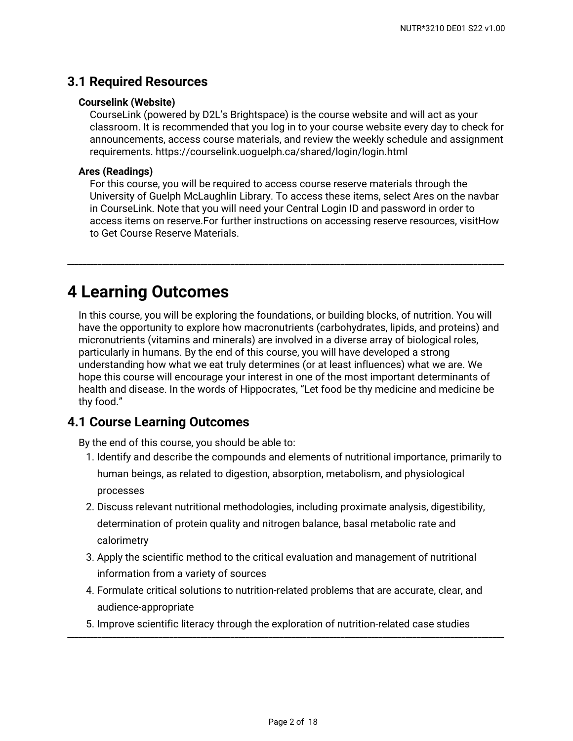## **3.1 Required Resources**

#### **Courselink (Website)**

CourseLink (powered by D2L's Brightspace) is the course website and will act as your classroom. It is recommended that you log in to your course website every day to check for announcements, access course materials, and review the weekly schedule and assignment requirements. https://courselink.uoguelph.ca/shared/login/login.html

#### **Ares (Readings)**

For this course, you will be required to access course reserve materials through the University of Guelph McLaughlin Library. To access these items, select Ares on the navbar in CourseLink. Note that you will need your Central Login ID and password in order to access items on reserve.For further instructions on accessing reserve resources, visitHow to Get Course Reserve Materials.

\_\_\_\_\_\_\_\_\_\_\_\_\_\_\_\_\_\_\_\_\_\_\_\_\_\_\_\_\_\_\_\_\_\_\_\_\_\_\_\_\_\_\_\_\_\_\_\_\_\_\_\_\_\_\_\_\_\_\_\_\_\_\_\_\_\_\_\_\_\_\_\_\_\_\_\_\_\_\_\_\_\_\_\_\_\_\_\_\_\_\_\_\_\_\_\_\_\_\_\_\_\_\_\_\_\_\_\_\_\_\_\_\_\_\_

# **4 Learning Outcomes**

In this course, you will be exploring the foundations, or building blocks, of nutrition. You will have the opportunity to explore how macronutrients (carbohydrates, lipids, and proteins) and micronutrients (vitamins and minerals) are involved in a diverse array of biological roles, particularly in humans. By the end of this course, you will have developed a strong understanding how what we eat truly determines (or at least influences) what we are. We hope this course will encourage your interest in one of the most important determinants of health and disease. In the words of Hippocrates, "Let food be thy medicine and medicine be thy food."

### **4.1 Course Learning Outcomes**

By the end of this course, you should be able to:

- 1. Identify and describe the compounds and elements of nutritional importance, primarily to human beings, as related to digestion, absorption, metabolism, and physiological processes
- 2. Discuss relevant nutritional methodologies, including proximate analysis, digestibility, determination of protein quality and nitrogen balance, basal metabolic rate and calorimetry
- 3. Apply the scientific method to the critical evaluation and management of nutritional information from a variety of sources
- Formulate critical solutions to nutrition-related problems that are accurate, clear, and 4. audience-appropriate

\_\_\_\_\_\_\_\_\_\_\_\_\_\_\_\_\_\_\_\_\_\_\_\_\_\_\_\_\_\_\_\_\_\_\_\_\_\_\_\_\_\_\_\_\_\_\_\_\_\_\_\_\_\_\_\_\_\_\_\_\_\_\_\_\_\_\_\_\_\_\_\_\_\_\_\_\_\_\_\_\_\_\_\_\_\_\_\_\_\_\_\_\_\_\_\_\_\_\_\_\_\_\_\_\_\_\_\_\_\_\_\_\_\_\_

5. Improve scientific literacy through the exploration of nutrition-related case studies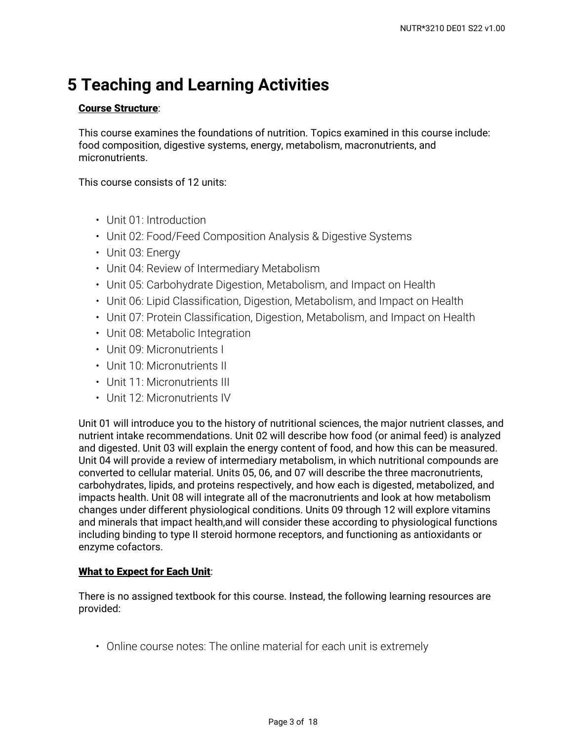# **5 Teaching and Learning Activities**

#### **Course Structure**:

This course examines the foundations of nutrition. Topics examined in this course include: food composition, digestive systems, energy, metabolism, macronutrients, and micronutrients.

This course consists of 12 units:

- Unit 01: Introduction
- Unit 02: Food/Feed Composition Analysis & Digestive Systems
- Unit 03: Energy
- Unit 04: Review of Intermediary Metabolism
- Unit 05: Carbohydrate Digestion, Metabolism, and Impact on Health
- Unit 06: Lipid Classification, Digestion, Metabolism, and Impact on Health
- Unit 07: Protein Classification, Digestion, Metabolism, and Impact on Health
- Unit 08: Metabolic Integration
- Unit 09: Micronutrients I
- Unit 10: Micronutrients II
- Unit 11: Micronutrients III
- Unit 12: Micronutrients IV

Unit 01 will introduce you to the history of nutritional sciences, the major nutrient classes, and nutrient intake recommendations. Unit 02 will describe how food (or animal feed) is analyzed and digested. Unit 03 will explain the energy content of food, and how this can be measured. Unit 04 will provide a review of intermediary metabolism, in which nutritional compounds are converted to cellular material. Units 05, 06, and 07 will describe the three macronutrients, carbohydrates, lipids, and proteins respectively, and how each is digested, metabolized, and impacts health. Unit 08 will integrate all of the macronutrients and look at how metabolism changes under different physiological conditions. Units 09 through 12 will explore vitamins and minerals that impact health,and will consider these according to physiological functions including binding to type II steroid hormone receptors, and functioning as antioxidants or enzyme cofactors.

#### **What to Expect for Each Unit**:

There is no assigned textbook for this course. Instead, the following learning resources are provided:

• Online course notes: The online material for each unit is extremely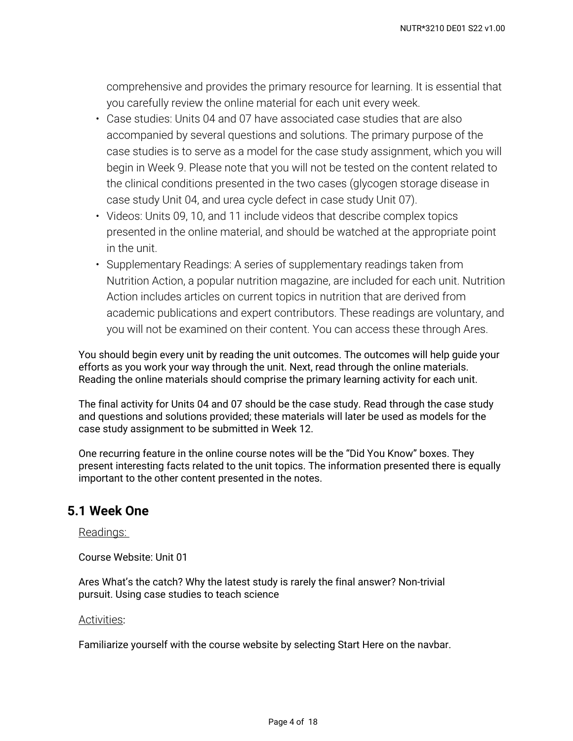comprehensive and provides the primary resource for learning. It is essential that you carefully review the online material for each unit every week.

- Case studies: Units 04 and 07 have associated case studies that are also accompanied by several questions and solutions. The primary purpose of the case studies is to serve as a model for the case study assignment, which you will begin in Week 9. Please note that you will not be tested on the content related to the clinical conditions presented in the two cases (glycogen storage disease in case study Unit 04, and urea cycle defect in case study Unit 07).
- Videos: Units 09, 10, and 11 include videos that describe complex topics presented in the online material, and should be watched at the appropriate point in the unit.
- Supplementary Readings: A series of supplementary readings taken from Nutrition Action, a popular nutrition magazine, are included for each unit. Nutrition Action includes articles on current topics in nutrition that are derived from academic publications and expert contributors. These readings are voluntary, and you will not be examined on their content. You can access these through Ares.

You should begin every unit by reading the unit outcomes. The outcomes will help guide your efforts as you work your way through the unit. Next, read through the online materials. Reading the online materials should comprise the primary learning activity for each unit.

The final activity for Units 04 and 07 should be the case study. Read through the case study and questions and solutions provided; these materials will later be used as models for the case study assignment to be submitted in Week 12.

One recurring feature in the online course notes will be the "Did You Know" boxes. They present interesting facts related to the unit topics. The information presented there is equally important to the other content presented in the notes.

## **5.1 Week One**

#### Readings:

Course Website: Unit 01

Ares What's the catch? Why the latest study is rarely the final answer? Non-trivial pursuit. Using case studies to teach science

#### Activities:

Familiarize yourself with the course website by selecting Start Here on the navbar.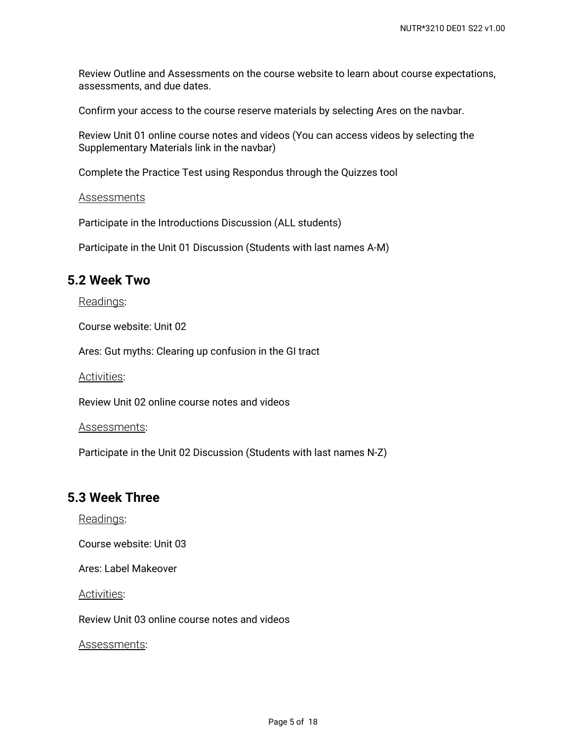Review Outline and Assessments on the course website to learn about course expectations, assessments, and due dates.

Confirm your access to the course reserve materials by selecting Ares on the navbar.

Review Unit 01 online course notes and videos (You can access videos by selecting the Supplementary Materials link in the navbar)

Complete the Practice Test using Respondus through the Quizzes tool

#### **Assessments**

Participate in the Introductions Discussion (ALL students)

Participate in the Unit 01 Discussion (Students with last names A-M)

## **5.2 Week Two**

Readings:

Course website: Unit 02

Ares: Gut myths: Clearing up confusion in the GI tract

Activities:

Review Unit 02 online course notes and videos

Assessments:

Participate in the Unit 02 Discussion (Students with last names N-Z)

### **5.3 Week Three**

Readings:

Course website: Unit 03

Ares: Label Makeover

Activities:

Review Unit 03 online course notes and videos

Assessments: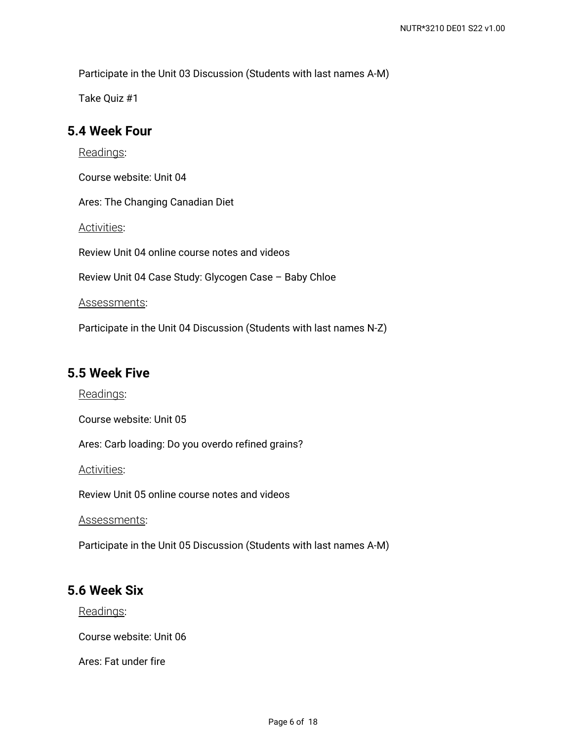Participate in the Unit 03 Discussion (Students with last names A-M)

Take Quiz #1

### **5.4 Week Four**

Readings:

Course website: Unit 04

Ares: The Changing Canadian Diet

Activities:

Review Unit 04 online course notes and videos

Review Unit 04 Case Study: Glycogen Case – Baby Chloe

Assessments:

Participate in the Unit 04 Discussion (Students with last names N-Z)

### **5.5 Week Five**

Readings:

Course website: Unit 05

Ares: Carb loading: Do you overdo refined grains?

Activities:

Review Unit 05 online course notes and videos

Assessments:

Participate in the Unit 05 Discussion (Students with last names A-M)

## **5.6 Week Six**

Readings:

Course website: Unit 06

Ares: Fat under fire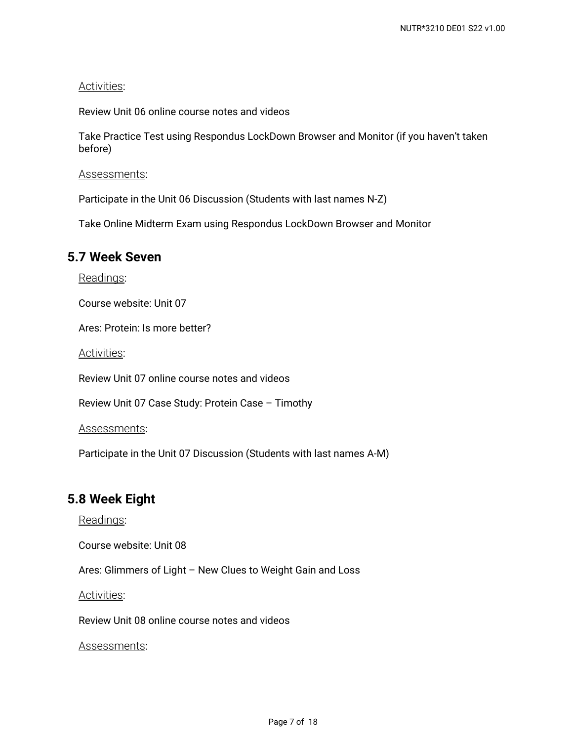#### Activities:

Review Unit 06 online course notes and videos

Take Practice Test using Respondus LockDown Browser and Monitor (if you haven't taken before)

#### Assessments:

Participate in the Unit 06 Discussion (Students with last names N-Z)

Take Online Midterm Exam using Respondus LockDown Browser and Monitor

#### **5.7 Week Seven**

Readings:

Course website: Unit 07

Ares: Protein: Is more better?

Activities:

Review Unit 07 online course notes and videos

Review Unit 07 Case Study: Protein Case – Timothy

Assessments:

Participate in the Unit 07 Discussion (Students with last names A-M)

# **5.8 Week Eight**

Readings:

Course website: Unit 08

Ares: Glimmers of Light – New Clues to Weight Gain and Loss

Activities:

Review Unit 08 online course notes and videos

Assessments: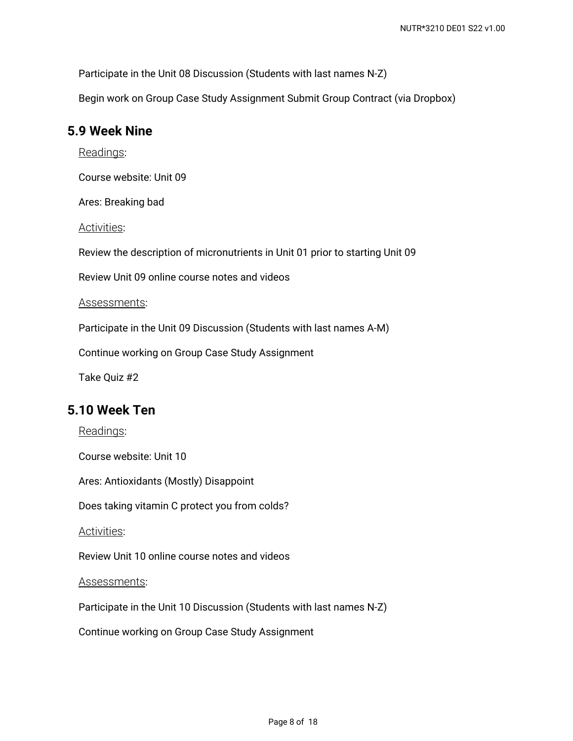Participate in the Unit 08 Discussion (Students with last names N-Z)

Begin work on Group Case Study Assignment Submit Group Contract (via Dropbox)

## **5.9 Week Nine**

Readings:

Course website: Unit 09

Ares: Breaking bad

Activities:

Review the description of micronutrients in Unit 01 prior to starting Unit 09

Review Unit 09 online course notes and videos

Assessments:

Participate in the Unit 09 Discussion (Students with last names A-M)

Continue working on Group Case Study Assignment

Take Quiz #2

### **5.10 Week Ten**

Readings:

Course website: Unit 10

Ares: Antioxidants (Mostly) Disappoint

Does taking vitamin C protect you from colds?

Activities:

Review Unit 10 online course notes and videos

Assessments:

Participate in the Unit 10 Discussion (Students with last names N-Z)

Continue working on Group Case Study Assignment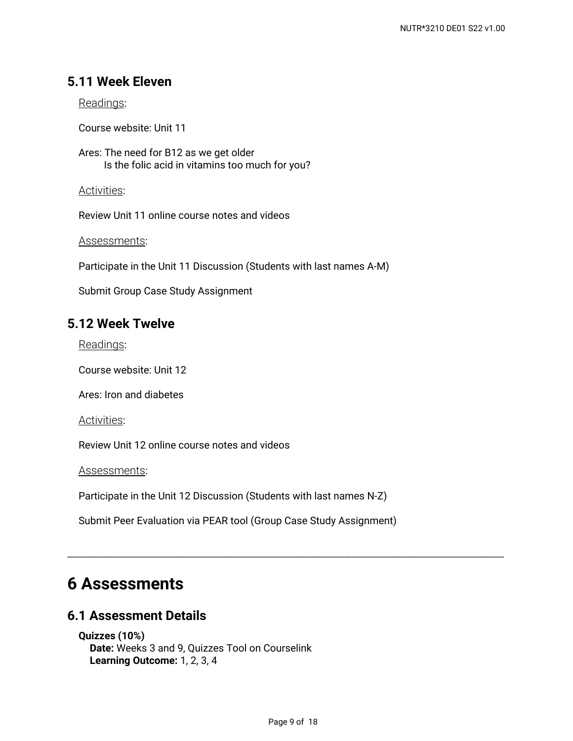#### **5.11 Week Eleven**

Readings:

Course website: Unit 11

Ares: The need for B12 as we get older Is the folic acid in vitamins too much for you?

Activities:

Review Unit 11 online course notes and videos

Assessments:

Participate in the Unit 11 Discussion (Students with last names A-M)

Submit Group Case Study Assignment

## **5.12 Week Twelve**

Readings:

Course website: Unit 12

Ares: Iron and diabetes

Activities:

Review Unit 12 online course notes and videos

Assessments:

Participate in the Unit 12 Discussion (Students with last names N-Z)

Submit Peer Evaluation via PEAR tool (Group Case Study Assignment)

# **6 Assessments**

### **6.1 Assessment Details**

**Quizzes (10%)**

**Date:** Weeks 3 and 9, Quizzes Tool on Courselink **Learning Outcome:** 1, 2, 3, 4

\_\_\_\_\_\_\_\_\_\_\_\_\_\_\_\_\_\_\_\_\_\_\_\_\_\_\_\_\_\_\_\_\_\_\_\_\_\_\_\_\_\_\_\_\_\_\_\_\_\_\_\_\_\_\_\_\_\_\_\_\_\_\_\_\_\_\_\_\_\_\_\_\_\_\_\_\_\_\_\_\_\_\_\_\_\_\_\_\_\_\_\_\_\_\_\_\_\_\_\_\_\_\_\_\_\_\_\_\_\_\_\_\_\_\_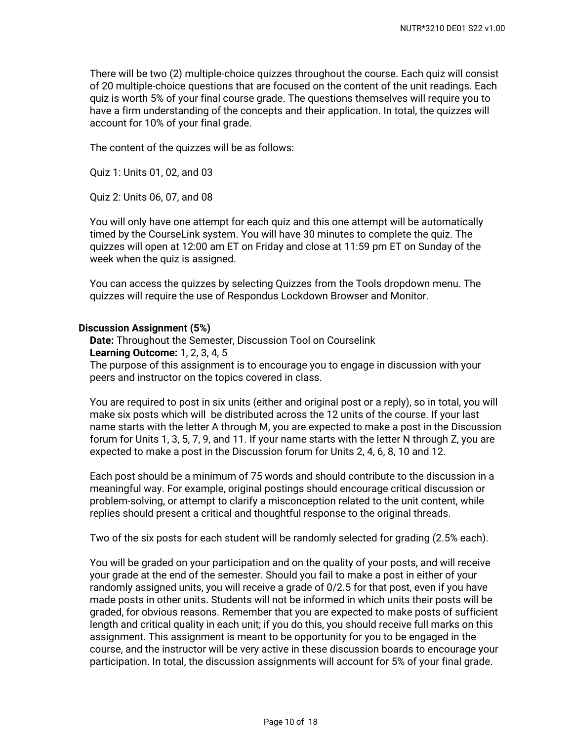There will be two (2) multiple-choice quizzes throughout the course. Each quiz will consist of 20 multiple-choice questions that are focused on the content of the unit readings. Each quiz is worth 5% of your final course grade. The questions themselves will require you to have a firm understanding of the concepts and their application. In total, the quizzes will account for 10% of your final grade.

The content of the quizzes will be as follows:

Quiz 1: Units 01, 02, and 03

Quiz 2: Units 06, 07, and 08

You will only have one attempt for each quiz and this one attempt will be automatically timed by the CourseLink system. You will have 30 minutes to complete the quiz. The quizzes will open at 12:00 am ET on Friday and close at 11:59 pm ET on Sunday of the week when the quiz is assigned.

You can access the quizzes by selecting Quizzes from the Tools dropdown menu. The quizzes will require the use of Respondus Lockdown Browser and Monitor.

#### **Discussion Assignment (5%)**

**Date:** Throughout the Semester, Discussion Tool on Courselink **Learning Outcome:** 1, 2, 3, 4, 5 The purpose of this assignment is to encourage you to engage in discussion with your peers and instructor on the topics covered in class.

You are required to post in six units (either and original post or a reply), so in total, you will make six posts which will be distributed across the 12 units of the course. If your last name starts with the letter A through M, you are expected to make a post in the Discussion forum for Units 1, 3, 5, 7, 9, and 11. If your name starts with the letter N through Z, you are expected to make a post in the Discussion forum for Units 2, 4, 6, 8, 10 and 12.

Each post should be a minimum of 75 words and should contribute to the discussion in a meaningful way. For example, original postings should encourage critical discussion or problem-solving, or attempt to clarify a misconception related to the unit content, while replies should present a critical and thoughtful response to the original threads.

Two of the six posts for each student will be randomly selected for grading (2.5% each).

You will be graded on your participation and on the quality of your posts, and will receive your grade at the end of the semester. Should you fail to make a post in either of your randomly assigned units, you will receive a grade of 0/2.5 for that post, even if you have made posts in other units. Students will not be informed in which units their posts will be graded, for obvious reasons. Remember that you are expected to make posts of sufficient length and critical quality in each unit; if you do this, you should receive full marks on this assignment. This assignment is meant to be opportunity for you to be engaged in the course, and the instructor will be very active in these discussion boards to encourage your participation. In total, the discussion assignments will account for 5% of your final grade.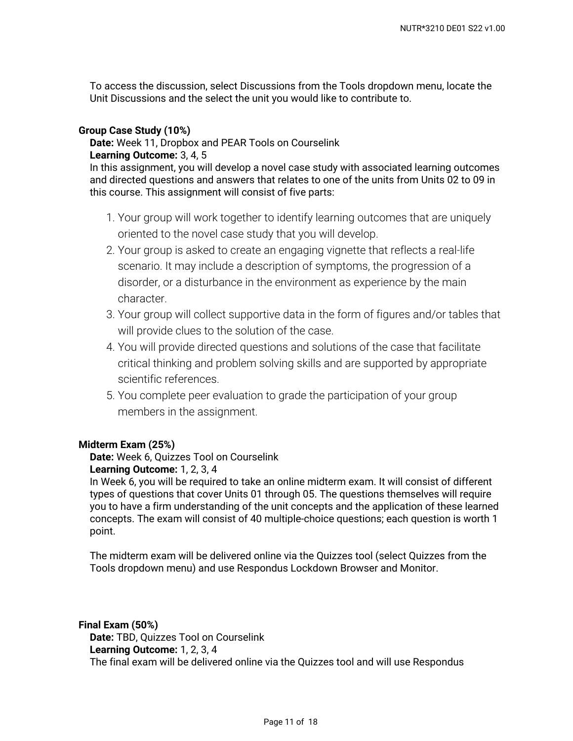To access the discussion, select Discussions from the Tools dropdown menu, locate the Unit Discussions and the select the unit you would like to contribute to.

#### **Group Case Study (10%)**

**Date:** Week 11, Dropbox and PEAR Tools on Courselink **Learning Outcome:** 3, 4, 5

In this assignment, you will develop a novel case study with associated learning outcomes and directed questions and answers that relates to one of the units from Units 02 to 09 in this course. This assignment will consist of five parts:

- Your group will work together to identify learning outcomes that are uniquely 1. oriented to the novel case study that you will develop.
- Your group is asked to create an engaging vignette that reflects a real-life 2. scenario. It may include a description of symptoms, the progression of a disorder, or a disturbance in the environment as experience by the main character.
- 3. Your group will collect supportive data in the form of figures and/or tables that will provide clues to the solution of the case.
- You will provide directed questions and solutions of the case that facilitate 4. critical thinking and problem solving skills and are supported by appropriate scientific references.
- You complete peer evaluation to grade the participation of your group 5. members in the assignment.

#### **Midterm Exam (25%)**

**Date:** Week 6, Quizzes Tool on Courselink

#### **Learning Outcome:** 1, 2, 3, 4

In Week 6, you will be required to take an online midterm exam. It will consist of different types of questions that cover Units 01 through 05. The questions themselves will require you to have a firm understanding of the unit concepts and the application of these learned concepts. The exam will consist of 40 multiple-choice questions; each question is worth 1 point.

The midterm exam will be delivered online via the Quizzes tool (select Quizzes from the Tools dropdown menu) and use Respondus Lockdown Browser and Monitor.

**Final Exam (50%)**

**Date:** TBD, Quizzes Tool on Courselink **Learning Outcome:** 1, 2, 3, 4 The final exam will be delivered online via the Quizzes tool and will use Respondus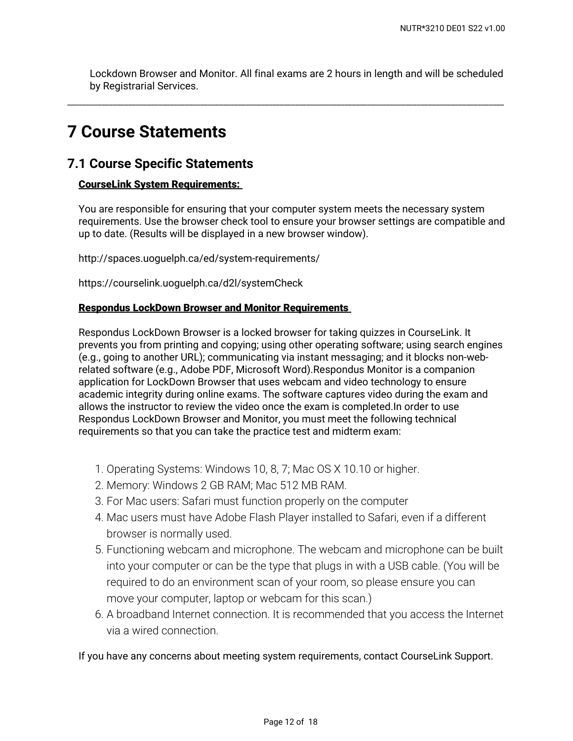Lockdown Browser and Monitor. All final exams are 2 hours in length and will be scheduled by Registrarial Services.

\_\_\_\_\_\_\_\_\_\_\_\_\_\_\_\_\_\_\_\_\_\_\_\_\_\_\_\_\_\_\_\_\_\_\_\_\_\_\_\_\_\_\_\_\_\_\_\_\_\_\_\_\_\_\_\_\_\_\_\_\_\_\_\_\_\_\_\_\_\_\_\_\_\_\_\_\_\_\_\_\_\_\_\_\_\_\_\_\_\_\_\_\_\_\_\_\_\_\_\_\_\_\_\_\_\_\_\_\_\_\_\_\_\_\_

# **7 Course Statements**

## **7.1 Course Specific Statements**

#### **CourseLink System Requirements:**

You are responsible for ensuring that your computer system meets the necessary system requirements. Use the browser check tool to ensure your browser settings are compatible and up to date. (Results will be displayed in a new browser window).

http://spaces.uoguelph.ca/ed/system-requirements/

https://courselink.uoguelph.ca/d2l/systemCheck

#### **Respondus LockDown Browser and Monitor Requirements**

Respondus LockDown Browser is a locked browser for taking quizzes in CourseLink. It prevents you from printing and copying; using other operating software; using search engines (e.g., going to another URL); communicating via instant messaging; and it blocks non-webrelated software (e.g., Adobe PDF, Microsoft Word).Respondus Monitor is a companion application for LockDown Browser that uses webcam and video technology to ensure academic integrity during online exams. The software captures video during the exam and allows the instructor to review the video once the exam is completed.In order to use Respondus LockDown Browser and Monitor, you must meet the following technical requirements so that you can take the practice test and midterm exam:

- 1. Operating Systems: Windows 10, 8, 7; Mac OS X 10.10 or higher.
- 2. Memory: Windows 2 GB RAM; Mac 512 MB RAM.
- 3. For Mac users: Safari must function properly on the computer
- Mac users must have Adobe Flash Player installed to Safari, even if a different 4. browser is normally used.
- Functioning webcam and microphone. The webcam and microphone can be built 5. into your computer or can be the type that plugs in with a USB cable. (You will be required to do an environment scan of your room, so please ensure you can move your computer, laptop or webcam for this scan.)
- 6. A broadband Internet connection. It is recommended that you access the Internet via a wired connection.

If you have any concerns about meeting system requirements, contact CourseLink Support.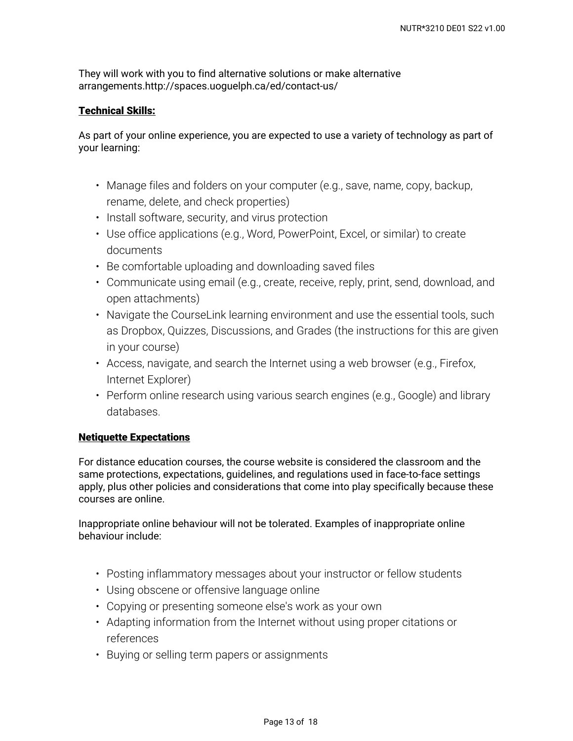They will work with you to find alternative solutions or make alternative arrangements.http://spaces.uoguelph.ca/ed/contact-us/

#### **Technical Skills:**

As part of your online experience, you are expected to use a variety of technology as part of your learning:

- Manage files and folders on your computer (e.g., save, name, copy, backup, rename, delete, and check properties)
- Install software, security, and virus protection
- Use office applications (e.g., Word, PowerPoint, Excel, or similar) to create documents
- Be comfortable uploading and downloading saved files
- Communicate using email (e.g., create, receive, reply, print, send, download, and open attachments)
- Navigate the CourseLink learning environment and use the essential tools, such as Dropbox, Quizzes, Discussions, and Grades (the instructions for this are given in your course)
- Access, navigate, and search the Internet using a web browser (e.g., Firefox, Internet Explorer)
- Perform online research using various search engines (e.g., Google) and library databases.

#### **Netiquette Expectations**

For distance education courses, the course website is considered the classroom and the same protections, expectations, guidelines, and regulations used in face-to-face settings apply, plus other policies and considerations that come into play specifically because these courses are online.

Inappropriate online behaviour will not be tolerated. Examples of inappropriate online behaviour include:

- Posting inflammatory messages about your instructor or fellow students
- Using obscene or offensive language online
- Copying or presenting someone else's work as your own
- Adapting information from the Internet without using proper citations or references
- Buying or selling term papers or assignments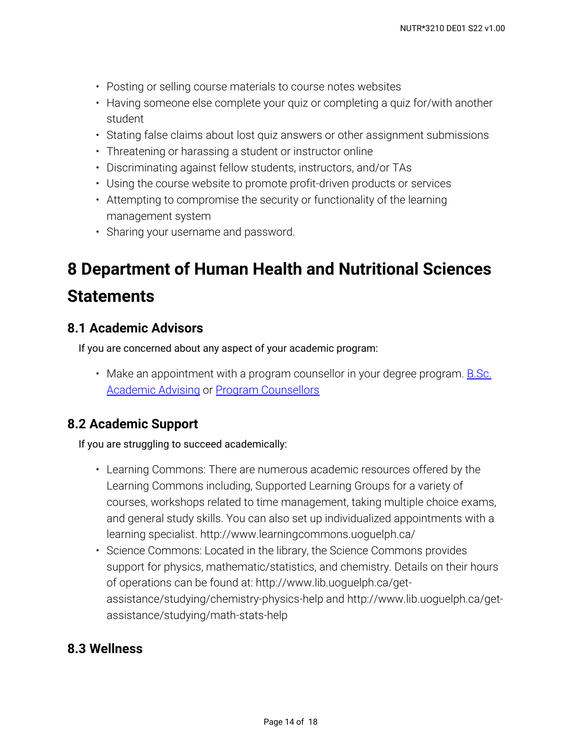- Posting or selling course materials to course notes websites
- Having someone else complete your quiz or completing a quiz for/with another student
- Stating false claims about lost quiz answers or other assignment submissions
- Threatening or harassing a student or instructor online
- Discriminating against fellow students, instructors, and/or TAs
- Using the course website to promote profit-driven products or services
- Attempting to compromise the security or functionality of the learning management system
- Sharing your username and password.

# **8 Department of Human Health and Nutritional Sciences Statements**

# **8.1 Academic Advisors**

If you are concerned about any aspect of your academic program:

• Make an appointment with a program counsellor in your degree program. <u>B.Sc.</u> [Academic Advising](https://bsc.uoguelph.ca/) or [Program Counsellors](https://www.uoguelph.ca/uaic/programcounsellors)

# **8.2 Academic Support**

If you are struggling to succeed academically:

- Learning Commons: There are numerous academic resources offered by the Learning Commons including, Supported Learning Groups for a variety of courses, workshops related to time management, taking multiple choice exams, and general study skills. You can also set up individualized appointments with a learning specialist. http://www.learningcommons.uoguelph.ca/
- Science Commons: Located in the library, the Science Commons provides support for physics, mathematic/statistics, and chemistry. Details on their hours of operations can be found at: http://www.lib.uoguelph.ca/getassistance/studying/chemistry-physics-help and http://www.lib.uoguelph.ca/getassistance/studying/math-stats-help

# **8.3 Wellness**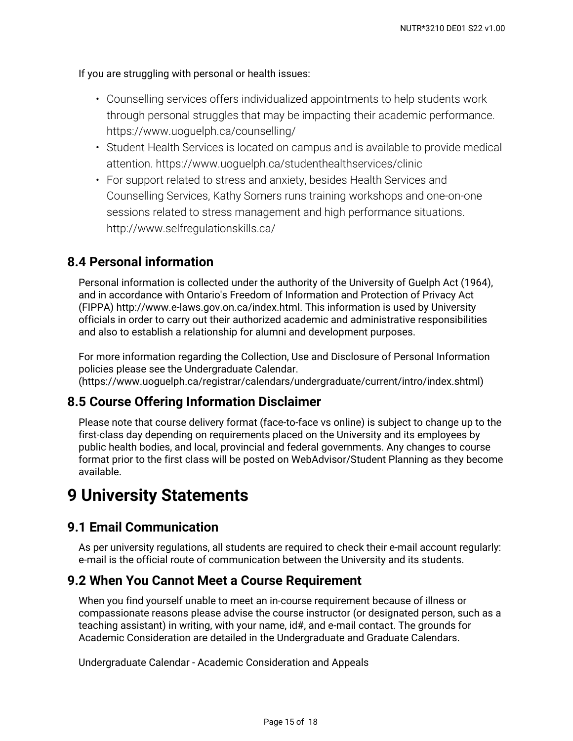If you are struggling with personal or health issues:

- Counselling services offers individualized appointments to help students work through personal struggles that may be impacting their academic performance. https://www.uoguelph.ca/counselling/
- Student Health Services is located on campus and is available to provide medical attention. https://www.uoguelph.ca/studenthealthservices/clinic
- For support related to stress and anxiety, besides Health Services and Counselling Services, Kathy Somers runs training workshops and one-on-one sessions related to stress management and high performance situations. http://www.selfregulationskills.ca/

# **8.4 Personal information**

Personal information is collected under the authority of the University of Guelph Act (1964), and in accordance with Ontario's Freedom of Information and Protection of Privacy Act (FIPPA) http://www.e-laws.gov.on.ca/index.html. This information is used by University officials in order to carry out their authorized academic and administrative responsibilities and also to establish a relationship for alumni and development purposes.

For more information regarding the Collection, Use and Disclosure of Personal Information policies please see the Undergraduate Calendar. (https://www.uoguelph.ca/registrar/calendars/undergraduate/current/intro/index.shtml)

# **8.5 Course Offering Information Disclaimer**

Please note that course delivery format (face-to-face vs online) is subject to change up to the first-class day depending on requirements placed on the University and its employees by public health bodies, and local, provincial and federal governments. Any changes to course format prior to the first class will be posted on WebAdvisor/Student Planning as they become available.

# **9 University Statements**

# **9.1 Email Communication**

As per university regulations, all students are required to check their e-mail account regularly: e-mail is the official route of communication between the University and its students.

## **9.2 When You Cannot Meet a Course Requirement**

When you find yourself unable to meet an in-course requirement because of illness or compassionate reasons please advise the course instructor (or designated person, such as a teaching assistant) in writing, with your name, id#, and e-mail contact. The grounds for Academic Consideration are detailed in the Undergraduate and Graduate Calendars.

Undergraduate Calendar - Academic Consideration and Appeals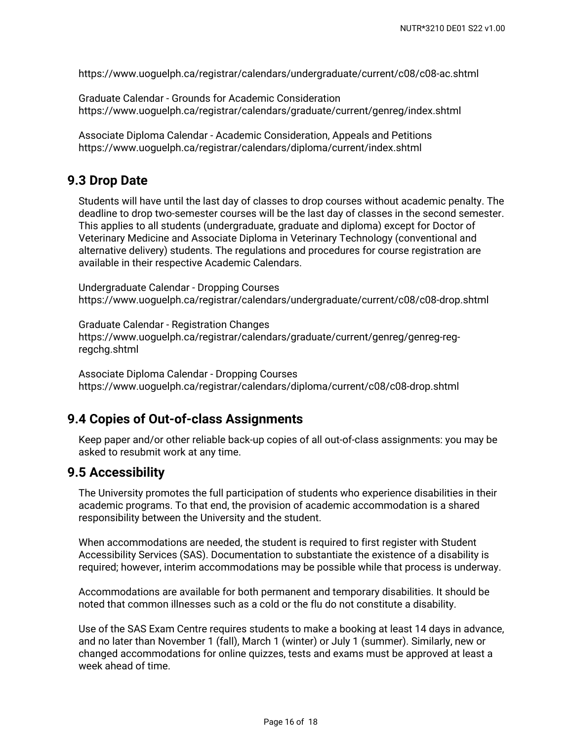https://www.uoguelph.ca/registrar/calendars/undergraduate/current/c08/c08-ac.shtml

Graduate Calendar - Grounds for Academic Consideration https://www.uoguelph.ca/registrar/calendars/graduate/current/genreg/index.shtml

Associate Diploma Calendar - Academic Consideration, Appeals and Petitions https://www.uoguelph.ca/registrar/calendars/diploma/current/index.shtml

### **9.3 Drop Date**

Students will have until the last day of classes to drop courses without academic penalty. The deadline to drop two-semester courses will be the last day of classes in the second semester. This applies to all students (undergraduate, graduate and diploma) except for Doctor of Veterinary Medicine and Associate Diploma in Veterinary Technology (conventional and alternative delivery) students. The regulations and procedures for course registration are available in their respective Academic Calendars.

Undergraduate Calendar - Dropping Courses https://www.uoguelph.ca/registrar/calendars/undergraduate/current/c08/c08-drop.shtml

Graduate Calendar - Registration Changes https://www.uoguelph.ca/registrar/calendars/graduate/current/genreg/genreg-regregchg.shtml

Associate Diploma Calendar - Dropping Courses https://www.uoguelph.ca/registrar/calendars/diploma/current/c08/c08-drop.shtml

### **9.4 Copies of Out-of-class Assignments**

Keep paper and/or other reliable back-up copies of all out-of-class assignments: you may be asked to resubmit work at any time.

### **9.5 Accessibility**

The University promotes the full participation of students who experience disabilities in their academic programs. To that end, the provision of academic accommodation is a shared responsibility between the University and the student.

When accommodations are needed, the student is required to first register with Student Accessibility Services (SAS). Documentation to substantiate the existence of a disability is required; however, interim accommodations may be possible while that process is underway.

Accommodations are available for both permanent and temporary disabilities. It should be noted that common illnesses such as a cold or the flu do not constitute a disability.

Use of the SAS Exam Centre requires students to make a booking at least 14 days in advance, and no later than November 1 (fall), March 1 (winter) or July 1 (summer). Similarly, new or changed accommodations for online quizzes, tests and exams must be approved at least a week ahead of time.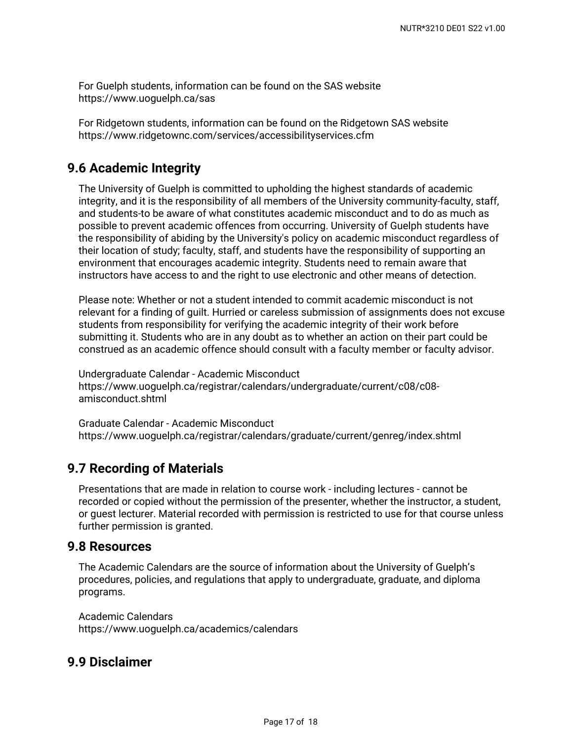For Guelph students, information can be found on the SAS website https://www.uoguelph.ca/sas

For Ridgetown students, information can be found on the Ridgetown SAS website https://www.ridgetownc.com/services/accessibilityservices.cfm

## **9.6 Academic Integrity**

The University of Guelph is committed to upholding the highest standards of academic integrity, and it is the responsibility of all members of the University community-faculty, staff, and students-to be aware of what constitutes academic misconduct and to do as much as possible to prevent academic offences from occurring. University of Guelph students have the responsibility of abiding by the University's policy on academic misconduct regardless of their location of study; faculty, staff, and students have the responsibility of supporting an environment that encourages academic integrity. Students need to remain aware that instructors have access to and the right to use electronic and other means of detection.

Please note: Whether or not a student intended to commit academic misconduct is not relevant for a finding of guilt. Hurried or careless submission of assignments does not excuse students from responsibility for verifying the academic integrity of their work before submitting it. Students who are in any doubt as to whether an action on their part could be construed as an academic offence should consult with a faculty member or faculty advisor.

Undergraduate Calendar - Academic Misconduct https://www.uoguelph.ca/registrar/calendars/undergraduate/current/c08/c08 amisconduct.shtml

Graduate Calendar - Academic Misconduct https://www.uoguelph.ca/registrar/calendars/graduate/current/genreg/index.shtml

## **9.7 Recording of Materials**

Presentations that are made in relation to course work - including lectures - cannot be recorded or copied without the permission of the presenter, whether the instructor, a student, or guest lecturer. Material recorded with permission is restricted to use for that course unless further permission is granted.

## **9.8 Resources**

The Academic Calendars are the source of information about the University of Guelph's procedures, policies, and regulations that apply to undergraduate, graduate, and diploma programs.

Academic Calendars https://www.uoguelph.ca/academics/calendars

### **9.9 Disclaimer**